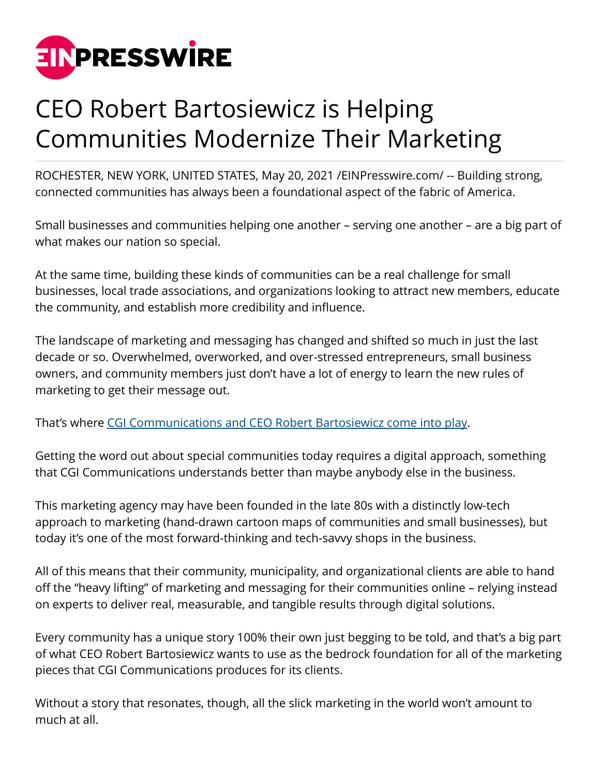

## CEO Robert Bartosiewicz is Helping Communities Modernize Their Marketing

ROCHESTER, NEW YORK, UNITED STATES, May 20, 2021 [/EINPresswire.com/](http://www.einpresswire.com) -- Building strong, connected communities has always been a foundational aspect of the fabric of America.

Small businesses and communities helping one another – serving one another – are a big part of what makes our nation so special.

At the same time, building these kinds of communities can be a real challenge for small businesses, local trade associations, and organizations looking to attract new members, educate the community, and establish more credibility and influence.

The landscape of marketing and messaging has changed and shifted so much in just the last decade or so. Overwhelmed, overworked, and over-stressed entrepreneurs, small business owners, and community members just don't have a lot of energy to learn the new rules of marketing to get their message out.

That's where [CGI Communications and CEO Robert Bartosiewicz come into play.](https://www.zoominfo.com/p/Robert-Bartosiewicz/82279143)

Getting the word out about special communities today requires a digital approach, something that CGI Communications understands better than maybe anybody else in the business.

This marketing agency may have been founded in the late 80s with a distinctly low-tech approach to marketing (hand-drawn cartoon maps of communities and small businesses), but today it's one of the most forward-thinking and tech-savvy shops in the business.

All of this means that their community, municipality, and organizational clients are able to hand off the "heavy lifting" of marketing and messaging for their communities online – relying instead on experts to deliver real, measurable, and tangible results through digital solutions.

Every community has a unique story 100% their own just begging to be told, and that's a big part of what CEO Robert Bartosiewicz wants to use as the bedrock foundation for all of the marketing pieces that CGI Communications produces for its clients.

Without a story that resonates, though, all the slick marketing in the world won't amount to much at all.